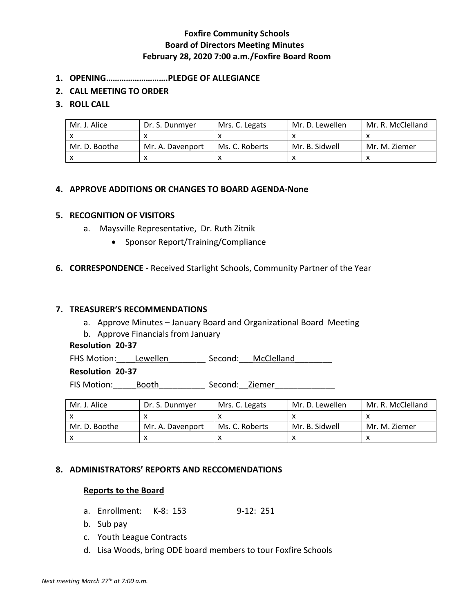# **Foxfire Community Schools Board of Directors Meeting Minutes February 28, 2020 7:00 a.m./Foxfire Board Room**

- **1. OPENING……………………….PLEDGE OF ALLEGIANCE**
- **2. CALL MEETING TO ORDER**
- **3. ROLL CALL**

| Mr. J. Alice  | Dr. S. Dunmyer   | Mrs. C. Legats | Mr. D. Lewellen | Mr. R. McClelland |
|---------------|------------------|----------------|-----------------|-------------------|
|               |                  |                |                 |                   |
| Mr. D. Boothe | Mr. A. Davenport | Ms. C. Roberts | Mr. B. Sidwell  | Mr. M. Ziemer     |
|               |                  |                |                 |                   |

### **4. APPROVE ADDITIONS OR CHANGES TO BOARD AGENDA-None**

#### **5. RECOGNITION OF VISITORS**

- a. Maysville Representative, Dr. Ruth Zitnik
	- Sponsor Report/Training/Compliance
- **6. CORRESPONDENCE -** Received Starlight Schools, Community Partner of the Year

#### **7. TREASURER'S RECOMMENDATIONS**

- a. Approve Minutes January Board and Organizational Board Meeting
- b. Approve Financials from January

### **Resolution 20-37**

FHS Motion: Lewellen \_\_\_\_\_\_\_\_ Second: \_\_McClelland

### **Resolution 20-37**

FIS Motion: e Booth Second: Ziemer

| Mr. J. Alice  | Dr. S. Dunmver   | Mrs. C. Legats | Mr. D. Lewellen | Mr. R. McClelland |
|---------------|------------------|----------------|-----------------|-------------------|
|               |                  |                |                 |                   |
| Mr. D. Boothe | Mr. A. Davenport | Ms. C. Roberts | Mr. B. Sidwell  | Mr. M. Ziemer     |
|               |                  |                |                 |                   |

#### **8. ADMINISTRATORS' REPORTS AND RECCOMENDATIONS**

#### **Reports to the Board**

- a. Enrollment: K-8: 153 9-12: 251
- b. Sub pay
- c. Youth League Contracts
- d. Lisa Woods, bring ODE board members to tour Foxfire Schools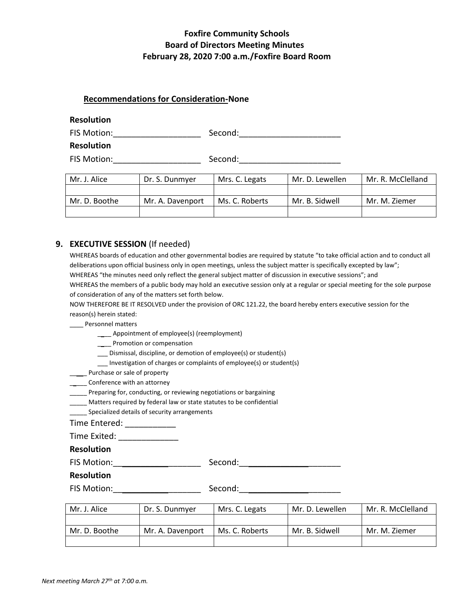## **Foxfire Community Schools Board of Directors Meeting Minutes February 28, 2020 7:00 a.m./Foxfire Board Room**

#### **Recommendations for Consideration-None**

#### **Resolution**

| FIS Motion:       | Second: |
|-------------------|---------|
| <b>Resolution</b> |         |

FIS Motion:\_\_\_\_\_\_\_\_\_\_\_\_\_\_\_\_\_\_\_ Second:\_\_\_\_\_\_\_\_\_\_\_\_\_\_\_\_\_\_\_\_\_\_

| Mr. J. Alice  | Dr. S. Dunmyer   | Mrs. C. Legats | Mr. D. Lewellen | Mr. R. McClelland |
|---------------|------------------|----------------|-----------------|-------------------|
|               |                  |                |                 |                   |
| Mr. D. Boothe | Mr. A. Davenport | Ms. C. Roberts | Mr. B. Sidwell  | Mr. M. Ziemer     |
|               |                  |                |                 |                   |

#### **9. EXECUTIVE SESSION** (If needed)

WHEREAS boards of education and other governmental bodies are required by statute "to take official action and to conduct all deliberations upon official business only in open meetings, unless the subject matter is specifically excepted by law"; WHEREAS "the minutes need only reflect the general subject matter of discussion in executive sessions"; and WHEREAS the members of a public body may hold an executive session only at a regular or special meeting for the sole purpose of consideration of any of the matters set forth below.

NOW THEREFORE BE IT RESOLVED under the provision of ORC 121.22, the board hereby enters executive session for the reason(s) herein stated:

\_\_\_\_ Personnel matters

\_\_\_\_ Appointment of employee(s) (reemployment)

\_\_\_\_ Promotion or compensation

\_\_\_ Dismissal, discipline, or demotion of employee(s) or student(s)

Investigation of charges or complaints of employee(s) or student(s)

**\_\_\_\_** Purchase or sale of property

\_\_\_\_\_\_ Conference with an attorney

\_\_\_\_\_ Preparing for, conducting, or reviewing negotiations or bargaining

Matters required by federal law or state statutes to be confidential

Specialized details of security arrangements

Time Entered: \_\_\_\_\_\_\_\_\_\_\_\_\_

Time Exited: \_\_\_\_\_\_\_\_\_\_\_\_\_

**Resolution**

FIS Motion:\_\_\_\_\_\_\_\_\_\_\_\_\_\_\_\_\_\_\_ Second:\_\_\_\_\_\_\_\_\_\_\_\_\_\_\_\_\_\_\_\_\_\_

#### **Resolution**

FIS Motion:\_\_\_\_\_\_\_\_\_\_\_\_\_\_\_\_\_\_\_ Second:\_\_\_\_\_\_\_\_\_\_\_\_\_\_\_\_\_\_\_\_\_\_

| Mr. J. Alice  | Dr. S. Dunmyer   | Mrs. C. Legats | Mr. D. Lewellen | Mr. R. McClelland |
|---------------|------------------|----------------|-----------------|-------------------|
|               |                  |                |                 |                   |
| Mr. D. Boothe | Mr. A. Davenport | Ms. C. Roberts | Mr. B. Sidwell  | Mr. M. Ziemer     |
|               |                  |                |                 |                   |